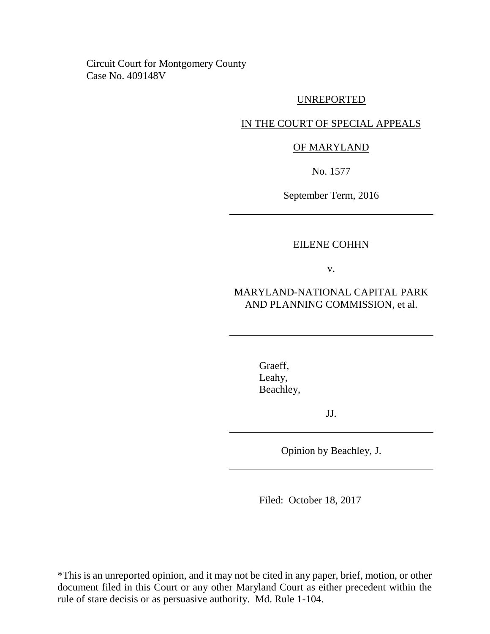Circuit Court for Montgomery County Case No. 409148V

#### UNREPORTED

### IN THE COURT OF SPECIAL APPEALS

### OF MARYLAND

No. 1577

September Term, 2016

### EILENE COHHN

v.

## MARYLAND-NATIONAL CAPITAL PARK AND PLANNING COMMISSION, et al.

Graeff, Leahy, Beachley,

JJ.

Opinion by Beachley, J.

Filed: October 18, 2017

\*This is an unreported opinion, and it may not be cited in any paper, brief, motion, or other document filed in this Court or any other Maryland Court as either precedent within the rule of stare decisis or as persuasive authority. Md. Rule 1-104.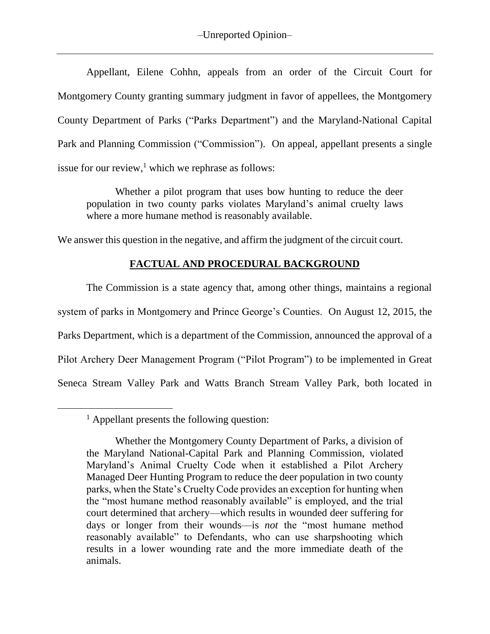Appellant, Eilene Cohhn, appeals from an order of the Circuit Court for Montgomery County granting summary judgment in favor of appellees, the Montgomery County Department of Parks ("Parks Department") and the Maryland-National Capital Park and Planning Commission ("Commission"). On appeal, appellant presents a single issue for our review, $<sup>1</sup>$  which we rephrase as follows:</sup>

Whether a pilot program that uses bow hunting to reduce the deer population in two county parks violates Maryland's animal cruelty laws where a more humane method is reasonably available.

We answer this question in the negative, and affirm the judgment of the circuit court.

## **FACTUAL AND PROCEDURAL BACKGROUND**

The Commission is a state agency that, among other things, maintains a regional system of parks in Montgomery and Prince George's Counties. On August 12, 2015, the Parks Department, which is a department of the Commission, announced the approval of a Pilot Archery Deer Management Program ("Pilot Program") to be implemented in Great Seneca Stream Valley Park and Watts Branch Stream Valley Park, both located in

 $<sup>1</sup>$  Appellant presents the following question:</sup>

Whether the Montgomery County Department of Parks, a division of the Maryland National-Capital Park and Planning Commission, violated Maryland's Animal Cruelty Code when it established a Pilot Archery Managed Deer Hunting Program to reduce the deer population in two county parks, when the State's Cruelty Code provides an exception for hunting when the "most humane method reasonably available" is employed, and the trial court determined that archery—which results in wounded deer suffering for days or longer from their wounds—is *not* the "most humane method reasonably available" to Defendants, who can use sharpshooting which results in a lower wounding rate and the more immediate death of the animals.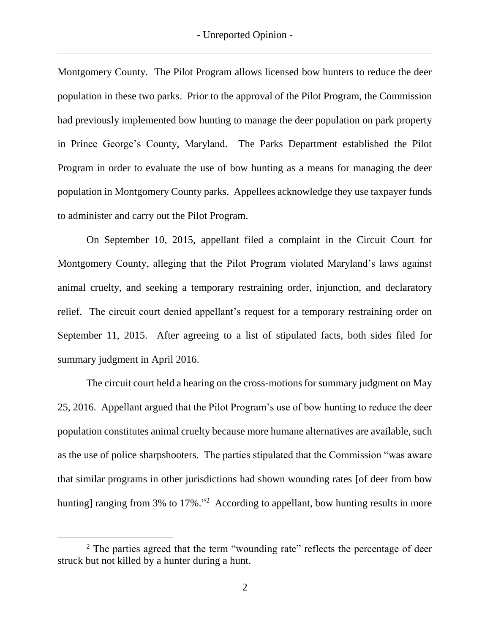Montgomery County. The Pilot Program allows licensed bow hunters to reduce the deer population in these two parks. Prior to the approval of the Pilot Program, the Commission had previously implemented bow hunting to manage the deer population on park property in Prince George's County, Maryland. The Parks Department established the Pilot Program in order to evaluate the use of bow hunting as a means for managing the deer population in Montgomery County parks. Appellees acknowledge they use taxpayer funds to administer and carry out the Pilot Program.

On September 10, 2015, appellant filed a complaint in the Circuit Court for Montgomery County, alleging that the Pilot Program violated Maryland's laws against animal cruelty, and seeking a temporary restraining order, injunction, and declaratory relief. The circuit court denied appellant's request for a temporary restraining order on September 11, 2015. After agreeing to a list of stipulated facts, both sides filed for summary judgment in April 2016.

The circuit court held a hearing on the cross-motions for summary judgment on May 25, 2016. Appellant argued that the Pilot Program's use of bow hunting to reduce the deer population constitutes animal cruelty because more humane alternatives are available, such as the use of police sharpshooters. The parties stipulated that the Commission "was aware that similar programs in other jurisdictions had shown wounding rates [of deer from bow hunting] ranging from 3% to 17%."<sup>2</sup> According to appellant, bow hunting results in more

 $\overline{a}$ 

<sup>&</sup>lt;sup>2</sup> The parties agreed that the term "wounding rate" reflects the percentage of deer struck but not killed by a hunter during a hunt.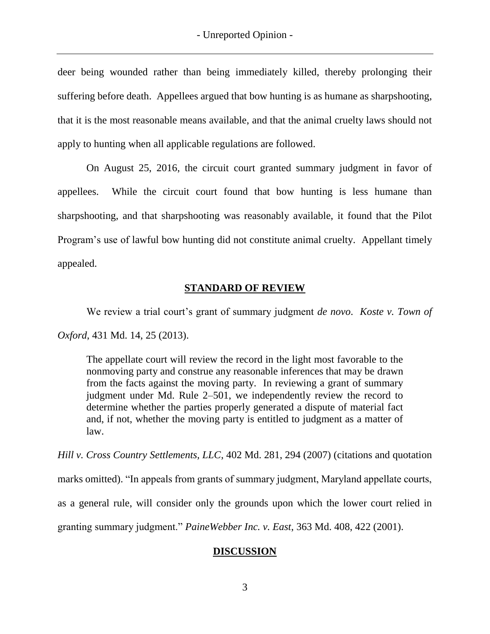deer being wounded rather than being immediately killed, thereby prolonging their suffering before death. Appellees argued that bow hunting is as humane as sharpshooting, that it is the most reasonable means available, and that the animal cruelty laws should not apply to hunting when all applicable regulations are followed.

On August 25, 2016, the circuit court granted summary judgment in favor of appellees. While the circuit court found that bow hunting is less humane than sharpshooting, and that sharpshooting was reasonably available, it found that the Pilot Program's use of lawful bow hunting did not constitute animal cruelty. Appellant timely appealed.

## **STANDARD OF REVIEW**

We review a trial court's grant of summary judgment *de novo*. *Koste v. Town of Oxford*, 431 Md. 14, 25 (2013).

The appellate court will review the record in the light most favorable to the nonmoving party and construe any reasonable inferences that may be drawn from the facts against the moving party. In reviewing a grant of summary judgment under Md. Rule 2–501, we independently review the record to determine whether the parties properly generated a dispute of material fact and, if not, whether the moving party is entitled to judgment as a matter of law.

*Hill v. Cross Country Settlements, LLC*, 402 Md. 281, 294 (2007) (citations and quotation marks omitted). "In appeals from grants of summary judgment, Maryland appellate courts, as a general rule, will consider only the grounds upon which the lower court relied in granting summary judgment." *PaineWebber Inc. v. East*, 363 Md. 408, 422 (2001).

# **DISCUSSION**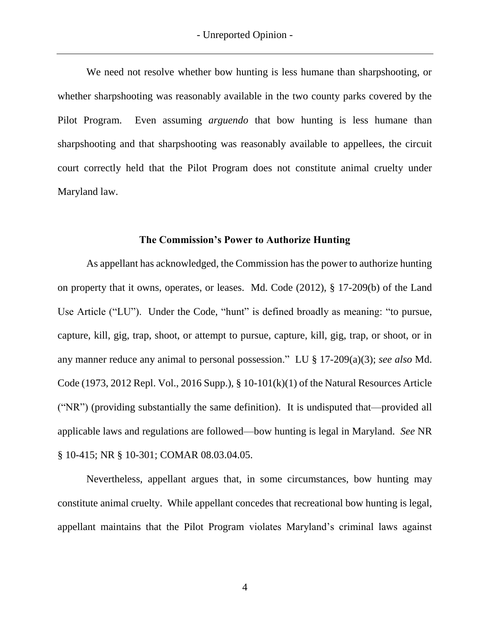We need not resolve whether bow hunting is less humane than sharpshooting, or whether sharpshooting was reasonably available in the two county parks covered by the Pilot Program. Even assuming *arguendo* that bow hunting is less humane than sharpshooting and that sharpshooting was reasonably available to appellees, the circuit court correctly held that the Pilot Program does not constitute animal cruelty under Maryland law.

### **The Commission's Power to Authorize Hunting**

As appellant has acknowledged, the Commission has the power to authorize hunting on property that it owns, operates, or leases. Md. Code (2012), § 17-209(b) of the Land Use Article ("LU"). Under the Code, "hunt" is defined broadly as meaning: "to pursue, capture, kill, gig, trap, shoot, or attempt to pursue, capture, kill, gig, trap, or shoot, or in any manner reduce any animal to personal possession." LU § 17-209(a)(3); *see also* Md. Code (1973, 2012 Repl. Vol., 2016 Supp.), § 10-101(k)(1) of the Natural Resources Article ("NR") (providing substantially the same definition). It is undisputed that—provided all applicable laws and regulations are followed—bow hunting is legal in Maryland. *See* NR § 10-415; NR § 10-301; COMAR 08.03.04.05.

Nevertheless, appellant argues that, in some circumstances, bow hunting may constitute animal cruelty. While appellant concedes that recreational bow hunting is legal, appellant maintains that the Pilot Program violates Maryland's criminal laws against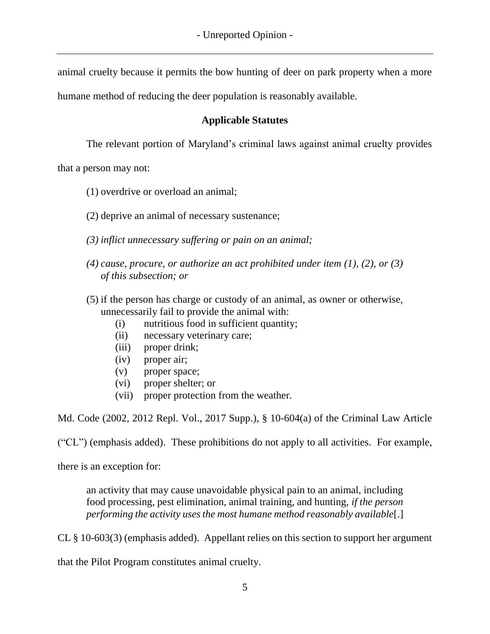animal cruelty because it permits the bow hunting of deer on park property when a more

humane method of reducing the deer population is reasonably available.

## **Applicable Statutes**

The relevant portion of Maryland's criminal laws against animal cruelty provides

that a person may not:

- (1) overdrive or overload an animal;
- (2) deprive an animal of necessary sustenance;
- *(3) inflict unnecessary suffering or pain on an animal;*
- *(4) cause, procure, or authorize an act prohibited under item (1), (2), or (3) of this subsection; or*
- (5) if the person has charge or custody of an animal, as owner or otherwise, unnecessarily fail to provide the animal with:
	- (i) nutritious food in sufficient quantity;
	- (ii) necessary veterinary care;
	- (iii) proper drink;
	- (iv) proper air;
	- (v) proper space;
	- (vi) proper shelter; or
	- (vii) proper protection from the weather.

Md. Code (2002, 2012 Repl. Vol., 2017 Supp.), § 10-604(a) of the Criminal Law Article

("CL") (emphasis added). These prohibitions do not apply to all activities. For example,

there is an exception for:

an activity that may cause unavoidable physical pain to an animal, including food processing, pest elimination, animal training, and hunting, *if the person performing the activity uses the most humane method reasonably available*[.]

CL § 10-603(3) (emphasis added). Appellant relies on this section to support her argument

that the Pilot Program constitutes animal cruelty.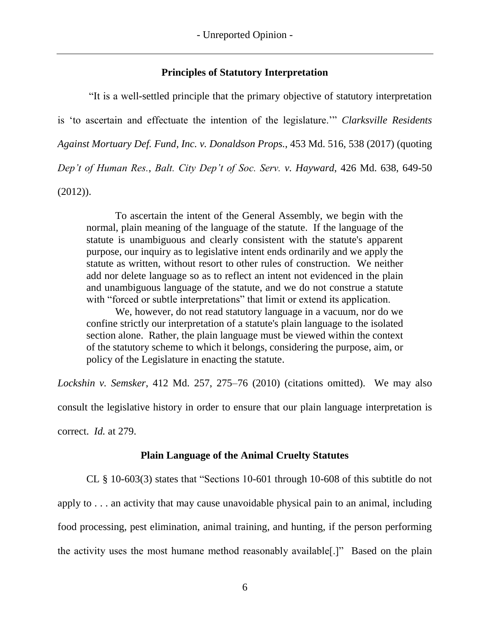### **Principles of Statutory Interpretation**

"It is a well-settled principle that the primary objective of statutory interpretation is 'to ascertain and effectuate the intention of the legislature.'" *Clarksville Residents Against Mortuary Def. Fund, Inc. v. Donaldson Props.*, 453 Md. 516, 538 (2017) (quoting *Dep't of Human Res.*, *Balt. City Dep't of Soc. Serv. v. Hayward*, 426 Md. 638, 649-50 (2012)).

To ascertain the intent of the General Assembly, we begin with the normal, plain meaning of the language of the statute. If the language of the statute is unambiguous and clearly consistent with the statute's apparent purpose, our inquiry as to legislative intent ends ordinarily and we apply the statute as written, without resort to other rules of construction. We neither add nor delete language so as to reflect an intent not evidenced in the plain and unambiguous language of the statute, and we do not construe a statute with "forced or subtle interpretations" that limit or extend its application.

We, however, do not read statutory language in a vacuum, nor do we confine strictly our interpretation of a statute's plain language to the isolated section alone. Rather, the plain language must be viewed within the context of the statutory scheme to which it belongs, considering the purpose, aim, or policy of the Legislature in enacting the statute.

*Lockshin v. Semsker*, 412 Md. 257, 275–76 (2010) (citations omitted). We may also consult the legislative history in order to ensure that our plain language interpretation is correct. *Id.* at 279.

## **Plain Language of the Animal Cruelty Statutes**

CL § 10-603(3) states that "Sections 10-601 through 10-608 of this subtitle do not apply to . . . an activity that may cause unavoidable physical pain to an animal, including food processing, pest elimination, animal training, and hunting, if the person performing the activity uses the most humane method reasonably available[.]" Based on the plain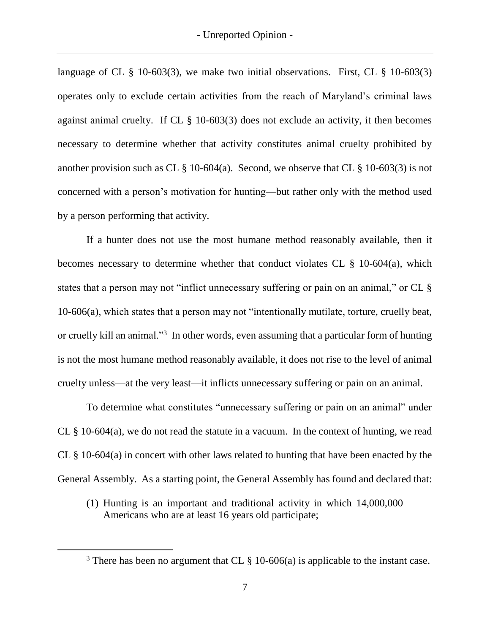language of CL  $\S$  10-603(3), we make two initial observations. First, CL  $\S$  10-603(3) operates only to exclude certain activities from the reach of Maryland's criminal laws against animal cruelty. If CL § 10-603(3) does not exclude an activity, it then becomes necessary to determine whether that activity constitutes animal cruelty prohibited by another provision such as CL  $\S$  10-604(a). Second, we observe that CL  $\S$  10-603(3) is not concerned with a person's motivation for hunting—but rather only with the method used by a person performing that activity.

If a hunter does not use the most humane method reasonably available, then it becomes necessary to determine whether that conduct violates CL § 10-604(a), which states that a person may not "inflict unnecessary suffering or pain on an animal," or CL § 10-606(a), which states that a person may not "intentionally mutilate, torture, cruelly beat, or cruelly kill an animal."<sup>3</sup> In other words, even assuming that a particular form of hunting is not the most humane method reasonably available, it does not rise to the level of animal cruelty unless—at the very least—it inflicts unnecessary suffering or pain on an animal.

To determine what constitutes "unnecessary suffering or pain on an animal" under CL § 10-604(a), we do not read the statute in a vacuum. In the context of hunting, we read CL § 10-604(a) in concert with other laws related to hunting that have been enacted by the General Assembly. As a starting point, the General Assembly has found and declared that:

(1) Hunting is an important and traditional activity in which 14,000,000 Americans who are at least 16 years old participate;

 $\overline{a}$ 

<sup>&</sup>lt;sup>3</sup> There has been no argument that CL  $\S$  10-606(a) is applicable to the instant case.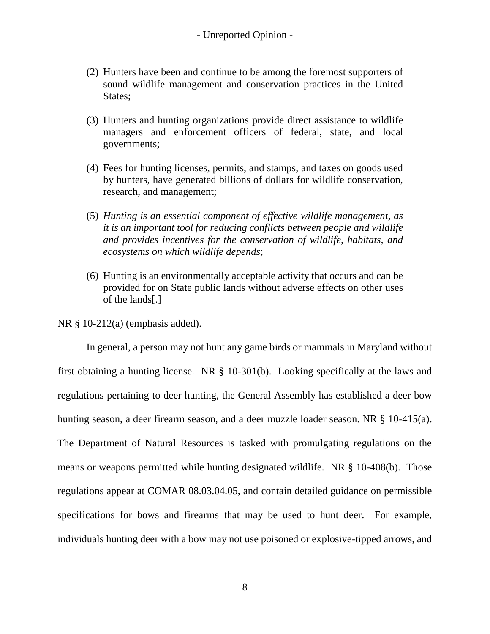- (2) Hunters have been and continue to be among the foremost supporters of sound wildlife management and conservation practices in the United States;
- (3) Hunters and hunting organizations provide direct assistance to wildlife managers and enforcement officers of federal, state, and local governments;
- (4) Fees for hunting licenses, permits, and stamps, and taxes on goods used by hunters, have generated billions of dollars for wildlife conservation, research, and management;
- (5) *Hunting is an essential component of effective wildlife management, as it is an important tool for reducing conflicts between people and wildlife and provides incentives for the conservation of wildlife, habitats, and ecosystems on which wildlife depends*;
- (6) Hunting is an environmentally acceptable activity that occurs and can be provided for on State public lands without adverse effects on other uses of the lands[.]

NR § 10-212(a) (emphasis added).

In general, a person may not hunt any game birds or mammals in Maryland without first obtaining a hunting license. NR § 10-301(b). Looking specifically at the laws and regulations pertaining to deer hunting, the General Assembly has established a deer bow hunting season, a deer firearm season, and a deer muzzle loader season. NR § 10-415(a). The Department of Natural Resources is tasked with promulgating regulations on the means or weapons permitted while hunting designated wildlife. NR § 10-408(b). Those regulations appear at COMAR 08.03.04.05, and contain detailed guidance on permissible specifications for bows and firearms that may be used to hunt deer. For example, individuals hunting deer with a bow may not use poisoned or explosive-tipped arrows, and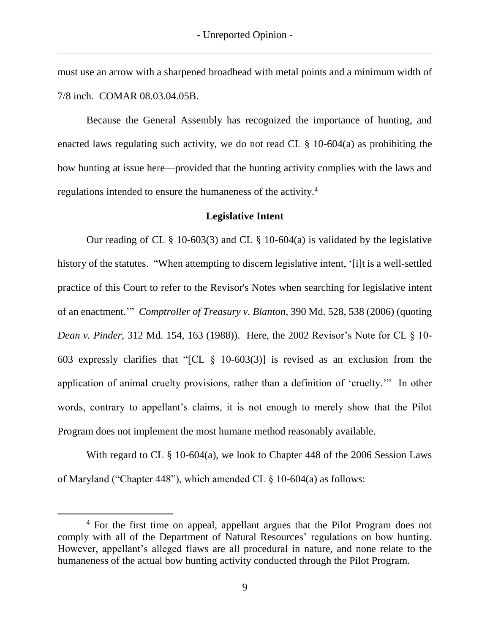must use an arrow with a sharpened broadhead with metal points and a minimum width of 7/8 inch. COMAR 08.03.04.05B.

Because the General Assembly has recognized the importance of hunting, and enacted laws regulating such activity, we do not read CL § 10-604(a) as prohibiting the bow hunting at issue here—provided that the hunting activity complies with the laws and regulations intended to ensure the humaneness of the activity.<sup>4</sup>

### **Legislative Intent**

Our reading of CL  $\S$  10-603(3) and CL  $\S$  10-604(a) is validated by the legislative history of the statutes. "When attempting to discern legislative intent, '[i]t is a well-settled practice of this Court to refer to the Revisor's Notes when searching for legislative intent of an enactment.'" *Comptroller of Treasury v. Blanton*, 390 Md. 528, 538 (2006) (quoting *Dean v. Pinder,* 312 Md. 154, 163 (1988)). Here, the 2002 Revisor's Note for CL § 10- 603 expressly clarifies that "[CL § 10-603(3)] is revised as an exclusion from the application of animal cruelty provisions, rather than a definition of 'cruelty.'" In other words, contrary to appellant's claims, it is not enough to merely show that the Pilot Program does not implement the most humane method reasonably available.

With regard to CL § 10-604(a), we look to Chapter 448 of the 2006 Session Laws of Maryland ("Chapter 448"), which amended CL § 10-604(a) as follows:

<sup>4</sup> For the first time on appeal, appellant argues that the Pilot Program does not comply with all of the Department of Natural Resources' regulations on bow hunting. However, appellant's alleged flaws are all procedural in nature, and none relate to the humaneness of the actual bow hunting activity conducted through the Pilot Program.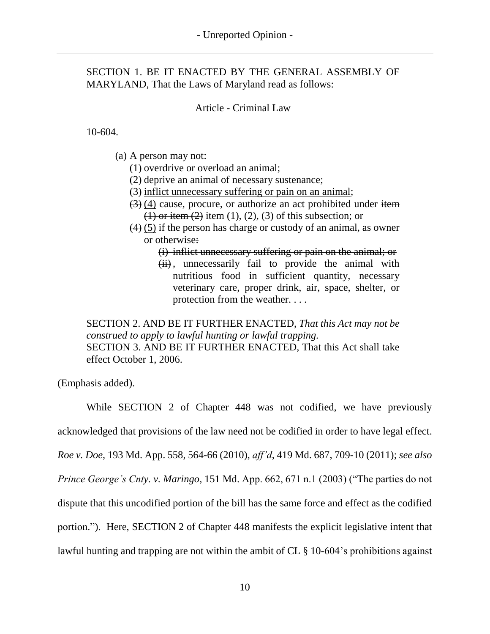## SECTION 1. BE IT ENACTED BY THE GENERAL ASSEMBLY OF MARYLAND, That the Laws of Maryland read as follows:

## Article - Criminal Law

10-604.

(a) A person may not:

(1) overdrive or overload an animal;

- (2) deprive an animal of necessary sustenance;
- (3) inflict unnecessary suffering or pain on an animal;
- $(3)$  (4) cause, procure, or authorize an act prohibited under item  $(1)$  or item  $(2)$  item  $(1)$ ,  $(2)$ ,  $(3)$  of this subsection; or
- (4) (5) if the person has charge or custody of an animal, as owner or otherwise:

### (i) inflict unnecessary suffering or pain on the animal; or

 $(ii)$ , unnecessarily fail to provide the animal with nutritious food in sufficient quantity, necessary veterinary care, proper drink, air, space, shelter, or protection from the weather. . . .

SECTION 2. AND BE IT FURTHER ENACTED, *That this Act may not be construed to apply to lawful hunting or lawful trapping.*  SECTION 3. AND BE IT FURTHER ENACTED, That this Act shall take effect October 1, 2006.

(Emphasis added).

While SECTION 2 of Chapter 448 was not codified, we have previously acknowledged that provisions of the law need not be codified in order to have legal effect. *Roe v. Doe*, 193 Md. App. 558, 564-66 (2010), *aff'd*, 419 Md. 687, 709-10 (2011); *see also Prince George's Cnty. v. Maringo*, 151 Md. App. 662, 671 n.1 (2003) ("The parties do not dispute that this uncodified portion of the bill has the same force and effect as the codified portion."). Here, SECTION 2 of Chapter 448 manifests the explicit legislative intent that lawful hunting and trapping are not within the ambit of CL § 10-604's prohibitions against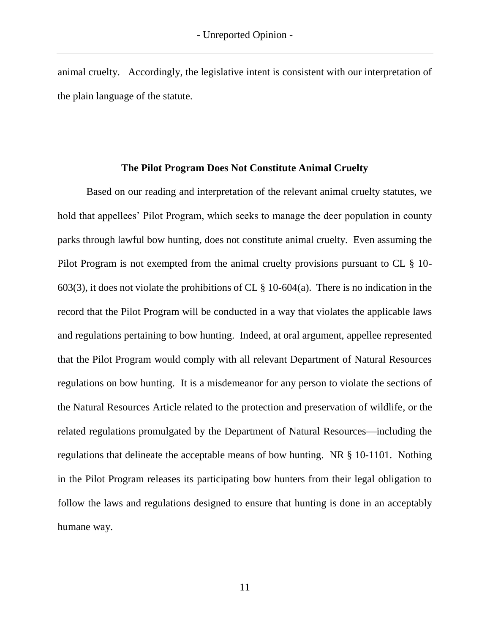animal cruelty. Accordingly, the legislative intent is consistent with our interpretation of the plain language of the statute.

#### **The Pilot Program Does Not Constitute Animal Cruelty**

Based on our reading and interpretation of the relevant animal cruelty statutes, we hold that appellees' Pilot Program, which seeks to manage the deer population in county parks through lawful bow hunting, does not constitute animal cruelty. Even assuming the Pilot Program is not exempted from the animal cruelty provisions pursuant to CL § 10- 603(3), it does not violate the prohibitions of CL  $\S$  10-604(a). There is no indication in the record that the Pilot Program will be conducted in a way that violates the applicable laws and regulations pertaining to bow hunting. Indeed, at oral argument, appellee represented that the Pilot Program would comply with all relevant Department of Natural Resources regulations on bow hunting. It is a misdemeanor for any person to violate the sections of the Natural Resources Article related to the protection and preservation of wildlife, or the related regulations promulgated by the Department of Natural Resources—including the regulations that delineate the acceptable means of bow hunting. NR § 10-1101. Nothing in the Pilot Program releases its participating bow hunters from their legal obligation to follow the laws and regulations designed to ensure that hunting is done in an acceptably humane way.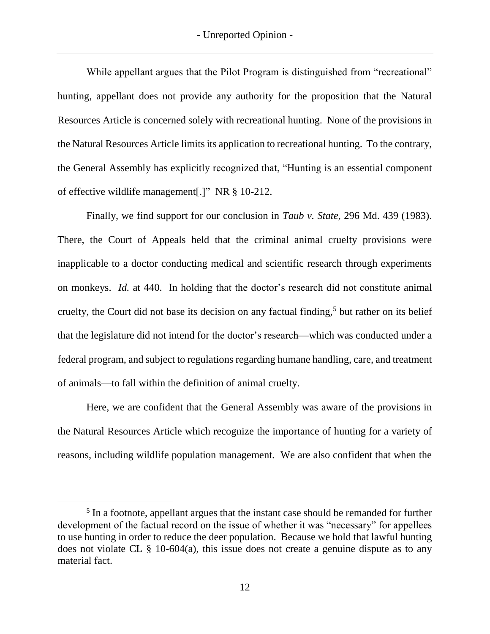While appellant argues that the Pilot Program is distinguished from "recreational" hunting, appellant does not provide any authority for the proposition that the Natural Resources Article is concerned solely with recreational hunting. None of the provisions in the Natural Resources Article limits its application to recreational hunting. To the contrary, the General Assembly has explicitly recognized that, "Hunting is an essential component of effective wildlife management[.]" NR § 10-212.

Finally, we find support for our conclusion in *Taub v. State*, 296 Md. 439 (1983). There, the Court of Appeals held that the criminal animal cruelty provisions were inapplicable to a doctor conducting medical and scientific research through experiments on monkeys. *Id.* at 440. In holding that the doctor's research did not constitute animal cruelty, the Court did not base its decision on any factual finding,<sup>5</sup> but rather on its belief that the legislature did not intend for the doctor's research—which was conducted under a federal program, and subject to regulations regarding humane handling, care, and treatment of animals—to fall within the definition of animal cruelty.

Here, we are confident that the General Assembly was aware of the provisions in the Natural Resources Article which recognize the importance of hunting for a variety of reasons, including wildlife population management. We are also confident that when the

<sup>&</sup>lt;sup>5</sup> In a footnote, appellant argues that the instant case should be remanded for further development of the factual record on the issue of whether it was "necessary" for appellees to use hunting in order to reduce the deer population. Because we hold that lawful hunting does not violate CL  $\S$  10-604(a), this issue does not create a genuine dispute as to any material fact.